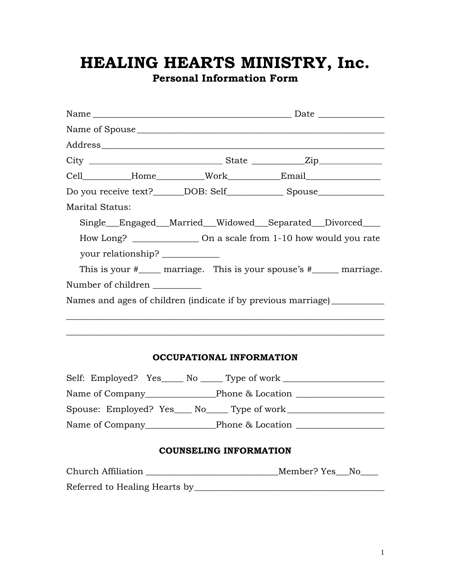# **HEALING HEARTS MINISTRY, Inc.**

**Personal Information Form** 

| Name of Spouse                                                                   |  |                                                           |  |  |
|----------------------------------------------------------------------------------|--|-----------------------------------------------------------|--|--|
|                                                                                  |  |                                                           |  |  |
|                                                                                  |  |                                                           |  |  |
| Cell__________Home__________Work___________Email________________________________ |  |                                                           |  |  |
| Do you receive text?______DOB: Self______________Spouse_________________________ |  |                                                           |  |  |
| <b>Marital Status:</b>                                                           |  |                                                           |  |  |
|                                                                                  |  | Single__Engaged__Married__Widowed__Separated__Divorced___ |  |  |
| How Long? ____________________ On a scale from 1-10 how would you rate           |  |                                                           |  |  |
| your relationship?                                                               |  |                                                           |  |  |
| This is your $\#$ marriage. This is your spouse's $\#$ marriage.                 |  |                                                           |  |  |
| Number of children                                                               |  |                                                           |  |  |
| Names and ages of children (indicate if by previous marriage) ____________       |  |                                                           |  |  |
|                                                                                  |  |                                                           |  |  |

#### **OCCUPATIONAL INFORMATION**

 $\_$  , and the set of the set of the set of the set of the set of the set of the set of the set of the set of the set of the set of the set of the set of the set of the set of the set of the set of the set of the set of th

| Self: Employed? Yes______ No _______ Type of work ____ |                  |  |
|--------------------------------------------------------|------------------|--|
|                                                        | Phone & Location |  |
| Spouse: Employed? Yes____ No_____ Type of work_        |                  |  |
|                                                        | Phone & Location |  |

### **COUNSELING INFORMATION**

| Church Affiliation            | Member? Yes No |
|-------------------------------|----------------|
| Referred to Healing Hearts by |                |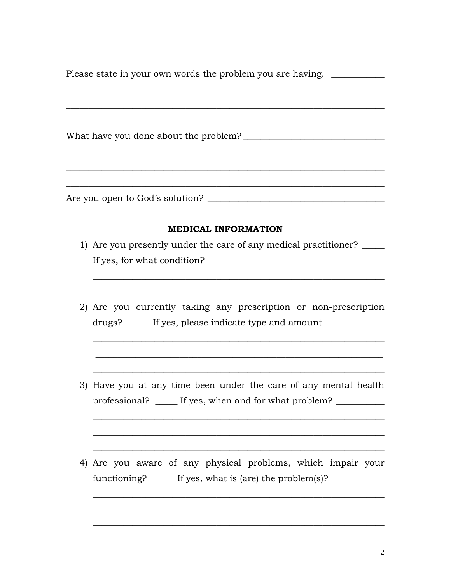| Please state in your own words the problem you are having. |  |
|------------------------------------------------------------|--|
|                                                            |  |
|                                                            |  |

#### **MEDICAL INFORMATION**

- 1) Are you presently under the care of any medical practitioner? If yes, for what condition?
- 2) Are you currently taking any prescription or non-prescription drugs? \_\_\_\_\_ If yes, please indicate type and amount\_\_\_\_\_\_\_\_\_\_\_\_
- 3) Have you at any time been under the care of any mental health professional? \_\_\_\_\_\_ If yes, when and for what problem? \_\_\_\_\_\_\_\_\_\_\_\_\_\_\_\_\_\_\_\_\_\_\_\_
- 4) Are you aware of any physical problems, which impair your functioning? \_\_\_\_\_\_ If yes, what is (are) the problem(s)? \_\_\_\_\_\_\_\_\_\_\_\_\_\_\_\_\_\_\_\_\_\_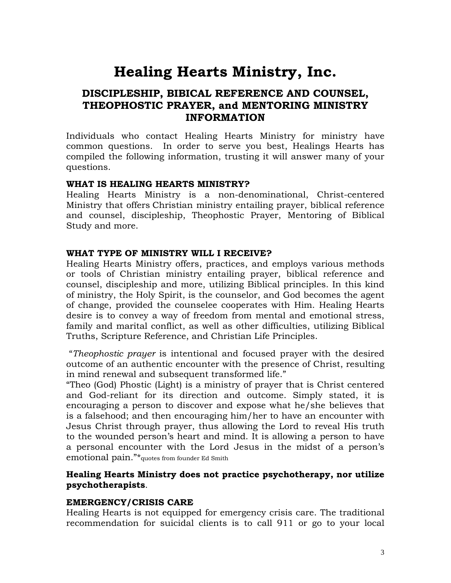## **Healing Hearts Ministry, Inc.**

### **DISCIPLESHIP, BIBICAL REFERENCE AND COUNSEL, THEOPHOSTIC PRAYER, and MENTORING MINISTRY INFORMATION**

Individuals who contact Healing Hearts Ministry for ministry have common questions. In order to serve you best, Healings Hearts has compiled the following information, trusting it will answer many of your questions.

#### **WHAT IS HEALING HEARTS MINISTRY?**

Healing Hearts Ministry is a non-denominational, Christ-centered Ministry that offers Christian ministry entailing prayer, biblical reference and counsel, discipleship, Theophostic Prayer, Mentoring of Biblical Study and more.

#### **WHAT TYPE OF MINISTRY WILL I RECEIVE?**

Healing Hearts Ministry offers, practices, and employs various methods or tools of Christian ministry entailing prayer, biblical reference and counsel, discipleship and more, utilizing Biblical principles. In this kind of ministry, the Holy Spirit, is the counselor, and God becomes the agent of change, provided the counselee cooperates with Him. Healing Hearts desire is to convey a way of freedom from mental and emotional stress, family and marital conflict, as well as other difficulties, utilizing Biblical Truths, Scripture Reference, and Christian Life Principles.

"*Theophostic prayer* is intentional and focused prayer with the desired outcome of an authentic encounter with the presence of Christ, resulting in mind renewal and subsequent transformed life."

"Theo (God) Phostic (Light) is a ministry of prayer that is Christ centered and God-reliant for its direction and outcome. Simply stated, it is encouraging a person to discover and expose what he/she believes that is a falsehood; and then encouraging him/her to have an encounter with Jesus Christ through prayer, thus allowing the Lord to reveal His truth to the wounded person's heart and mind. It is allowing a person to have a personal encounter with the Lord Jesus in the midst of a person's emotional pain."\*quotes from founder Ed Smith

#### **Healing Hearts Ministry does not practice psychotherapy, nor utilize psychotherapists**.

#### **EMERGENCY/CRISIS CARE**

Healing Hearts is not equipped for emergency crisis care. The traditional recommendation for suicidal clients is to call 911 or go to your local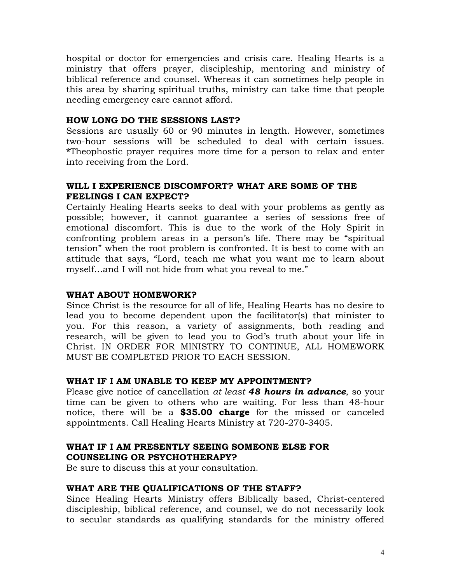hospital or doctor for emergencies and crisis care. Healing Hearts is a ministry that offers prayer, discipleship, mentoring and ministry of biblical reference and counsel. Whereas it can sometimes help people in this area by sharing spiritual truths, ministry can take time that people needing emergency care cannot afford.

#### **HOW LONG DO THE SESSIONS LAST?**

Sessions are usually 60 or 90 minutes in length. However, sometimes two-hour sessions will be scheduled to deal with certain issues. **\***Theophostic prayer requires more time for a person to relax and enter into receiving from the Lord.

#### **WILL I EXPERIENCE DISCOMFORT? WHAT ARE SOME OF THE FEELINGS I CAN EXPECT?**

Certainly Healing Hearts seeks to deal with your problems as gently as possible; however, it cannot guarantee a series of sessions free of emotional discomfort. This is due to the work of the Holy Spirit in confronting problem areas in a person's life. There may be "spiritual tension" when the root problem is confronted. It is best to come with an attitude that says, "Lord, teach me what you want me to learn about myself…and I will not hide from what you reveal to me."

#### **WHAT ABOUT HOMEWORK?**

Since Christ is the resource for all of life, Healing Hearts has no desire to lead you to become dependent upon the facilitator(s) that minister to you. For this reason, a variety of assignments, both reading and research, will be given to lead you to God's truth about your life in Christ. IN ORDER FOR MINISTRY TO CONTINUE, ALL HOMEWORK MUST BE COMPLETED PRIOR TO EACH SESSION.

#### **WHAT IF I AM UNABLE TO KEEP MY APPOINTMENT?**

Please give notice of cancellation *at least 48 hours in advance*, so your time can be given to others who are waiting. For less than 48-hour notice, there will be a **\$35.00 charge** for the missed or canceled appointments. Call Healing Hearts Ministry at 720-270-3405.

#### **WHAT IF I AM PRESENTLY SEEING SOMEONE ELSE FOR COUNSELING OR PSYCHOTHERAPY?**

Be sure to discuss this at your consultation.

#### **WHAT ARE THE QUALIFICATIONS OF THE STAFF?**

Since Healing Hearts Ministry offers Biblically based, Christ-centered discipleship, biblical reference, and counsel, we do not necessarily look to secular standards as qualifying standards for the ministry offered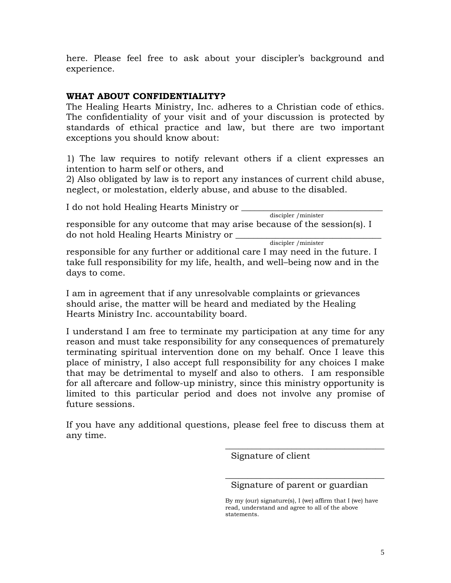here. Please feel free to ask about your discipler's background and experience.

#### **WHAT ABOUT CONFIDENTIALITY?**

The Healing Hearts Ministry, Inc. adheres to a Christian code of ethics. The confidentiality of your visit and of your discussion is protected by standards of ethical practice and law, but there are two important exceptions you should know about:

1) The law requires to notify relevant others if a client expresses an intention to harm self or others, and

2) Also obligated by law is to report any instances of current child abuse, neglect, or molestation, elderly abuse, and abuse to the disabled.

I do not hold Healing Hearts Ministry or \_\_\_\_\_\_\_\_\_\_\_\_\_\_\_\_\_\_\_\_\_\_\_\_\_\_\_\_\_\_\_\_ discipler /minister

responsible for any outcome that may arise because of the session(s). I do not hold Healing Hearts Ministry or \_\_\_\_\_\_\_\_\_\_\_\_\_\_\_\_\_\_\_\_\_\_\_\_\_\_\_\_\_\_\_\_\_ discipler /minister

responsible for any further or additional care I may need in the future. I take full responsibility for my life, health, and well–being now and in the days to come.

I am in agreement that if any unresolvable complaints or grievances should arise, the matter will be heard and mediated by the Healing Hearts Ministry Inc. accountability board.

I understand I am free to terminate my participation at any time for any reason and must take responsibility for any consequences of prematurely terminating spiritual intervention done on my behalf. Once I leave this place of ministry, I also accept full responsibility for any choices I make that may be detrimental to myself and also to others. I am responsible for all aftercare and follow-up ministry, since this ministry opportunity is limited to this particular period and does not involve any promise of future sessions.

If you have any additional questions, please feel free to discuss them at any time.

Signature of client

\_\_\_\_\_\_\_\_\_\_\_\_\_\_\_\_\_\_\_\_\_\_\_\_\_\_\_\_\_\_\_\_\_\_\_\_ Signature of parent or guardian

 $\_$ 

By my (our) signature(s), I (we) affirm that I (we) have read, understand and agree to all of the above statements.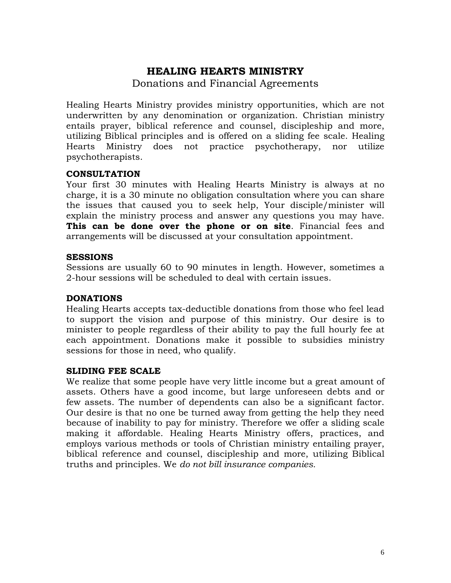## **HEALING HEARTS MINISTRY**

Donations and Financial Agreements

Healing Hearts Ministry provides ministry opportunities, which are not underwritten by any denomination or organization. Christian ministry entails prayer, biblical reference and counsel, discipleship and more, utilizing Biblical principles and is offered on a sliding fee scale. Healing Hearts Ministry does not practice psychotherapy, nor utilize psychotherapists.

#### **CONSULTATION**

Your first 30 minutes with Healing Hearts Ministry is always at no charge, it is a 30 minute no obligation consultation where you can share the issues that caused you to seek help, Your disciple/minister will explain the ministry process and answer any questions you may have. **This can be done over the phone or on site**. Financial fees and arrangements will be discussed at your consultation appointment.

#### **SESSIONS**

Sessions are usually 60 to 90 minutes in length. However, sometimes a 2-hour sessions will be scheduled to deal with certain issues.

#### **DONATIONS**

Healing Hearts accepts tax-deductible donations from those who feel lead to support the vision and purpose of this ministry. Our desire is to minister to people regardless of their ability to pay the full hourly fee at each appointment. Donations make it possible to subsidies ministry sessions for those in need, who qualify.

#### **SLIDING FEE SCALE**

We realize that some people have very little income but a great amount of assets. Others have a good income, but large unforeseen debts and or few assets. The number of dependents can also be a significant factor. Our desire is that no one be turned away from getting the help they need because of inability to pay for ministry. Therefore we offer a sliding scale making it affordable. Healing Hearts Ministry offers, practices, and employs various methods or tools of Christian ministry entailing prayer, biblical reference and counsel, discipleship and more, utilizing Biblical truths and principles. We *do not bill insurance companies.*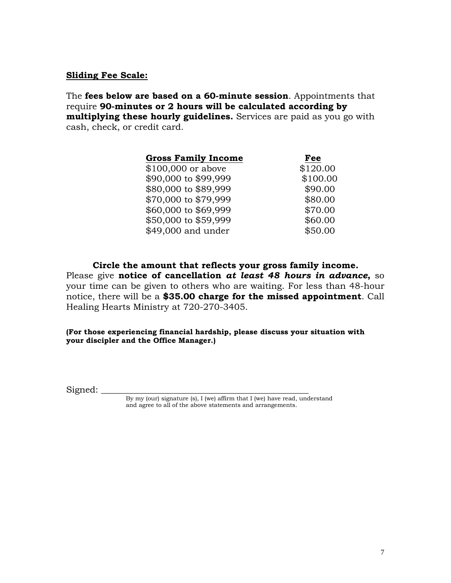#### **Sliding Fee Scale:**

The **fees below are based on a 60-minute session**. Appointments that require **90-minutes or 2 hours will be calculated according by multiplying these hourly guidelines.** Services are paid as you go with cash, check, or credit card.

| <b>Gross Family Income</b> | Fee      |
|----------------------------|----------|
| \$100,000 or above         | \$120.00 |
| \$90,000 to \$99,999       | \$100.00 |
| \$80,000 to \$89,999       | \$90.00  |
| \$70,000 to \$79,999       | \$80.00  |
| \$60,000 to \$69,999       | \$70.00  |
| \$50,000 to \$59,999       | \$60.00  |
| \$49,000 and under         | \$50.00  |
|                            |          |

**Circle the amount that reflects your gross family income.** Please give **notice of cancellation** *at least 48 hours in advance***,** so your time can be given to others who are waiting. For less than 48-hour notice, there will be a **\$35.00 charge for the missed appointment**. Call Healing Hearts Ministry at 720-270-3405.

**(For those experiencing financial hardship, please discuss your situation with your discipler and the Office Manager.)** 

 $Signed:$ 

By my (our) signature (s), I (we) affirm that I (we) have read, understand and agree to all of the above statements and arrangements.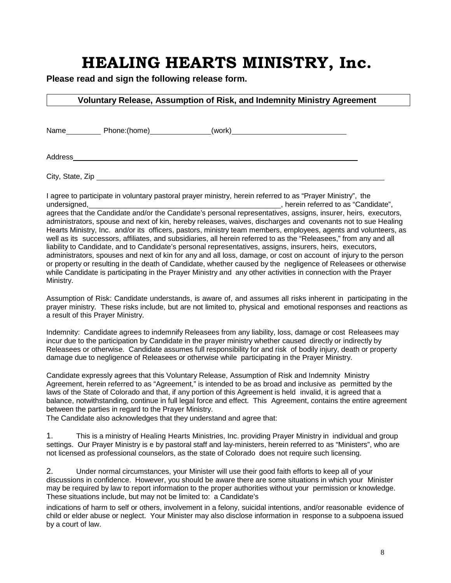## **HEALING HEARTS MINISTRY, Inc.**

**Please read and sign the following release form.**

#### **Voluntary Release, Assumption of Risk, and Indemnity Ministry Agreement**

Name Phone:(home) (work)

Address

City, State, Zip **Example 2018** 2019 2021 2022 2023 2024 2022 2023 2024 2022 2023 2024 2022 2023 2024 2022 2023 2024 2022 2023 2024 2022 2023 2024 2022 2023 2024 2023 2024 2023 2024 2023 2024 2023 2024 2023 2024 2023 2024

I agree to participate in voluntary pastoral prayer ministry, herein referred to as "Prayer Ministry", the undersigned, Mathematic Contract Contract Contract Conditions and the condition of the condition of the condition of the condition of the condition of the condition of the condition of the condition of the condition of the agrees that the Candidate and/or the Candidate's personal representatives, assigns, insurer, heirs, executors, administrators, spouse and next of kin, hereby releases, waives, discharges and covenants not to sue Healing Hearts Ministry, Inc. and/or its officers, pastors, ministry team members, employees, agents and volunteers, as well as its successors, affiliates, and subsidiaries, all herein referred to as the "Releasees," from any and all liability to Candidate, and to Candidate's personal representatives, assigns, insurers, heirs, executors, administrators, spouses and next of kin for any and all loss, damage, or cost on account of injury to the person or property or resulting in the death of Candidate, whether caused by the negligence of Releasees or otherwise while Candidate is participating in the Prayer Ministry and any other activities in connection with the Prayer Ministry.

Assumption of Risk: Candidate understands, is aware of, and assumes all risks inherent in participating in the prayer ministry. These risks include, but are not limited to, physical and emotional responses and reactions as a result of this Prayer Ministry.

Indemnity: Candidate agrees to indemnify Releasees from any liability, loss, damage or cost Releasees may incur due to the participation by Candidate in the prayer ministry whether caused directly or indirectly by Releasees or otherwise. Candidate assumes full responsibility for and risk of bodily injury, death or property damage due to negligence of Releasees or otherwise while participating in the Prayer Ministry.

Candidate expressly agrees that this Voluntary Release, Assumption of Risk and Indemnity Ministry Agreement, herein referred to as "Agreement," is intended to be as broad and inclusive as permitted by the laws of the State of Colorado and that, if any portion of this Agreement is held invalid, it is agreed that a balance, notwithstanding, continue in full legal force and effect. This Agreement, contains the entire agreement between the parties in regard to the Prayer Ministry.

The Candidate also acknowledges that they understand and agree that:

1. This is a ministry of Healing Hearts Ministries, Inc. providing Prayer Ministry in individual and group settings. Our Prayer Ministry is e by pastoral staff and lay-ministers, herein referred to as "Ministers", who are not licensed as professional counselors, as the state of Colorado does not require such licensing.

2. Under normal circumstances, your Minister will use their good faith efforts to keep all of your discussions in confidence. However, you should be aware there are some situations in which your Minister may be required by law to report information to the proper authorities without your permission or knowledge. These situations include, but may not be limited to: a Candidate's

indications of harm to self or others, involvement in a felony, suicidal intentions, and/or reasonable evidence of child or elder abuse or neglect. Your Minister may also disclose information in response to a subpoena issued by a court of law.